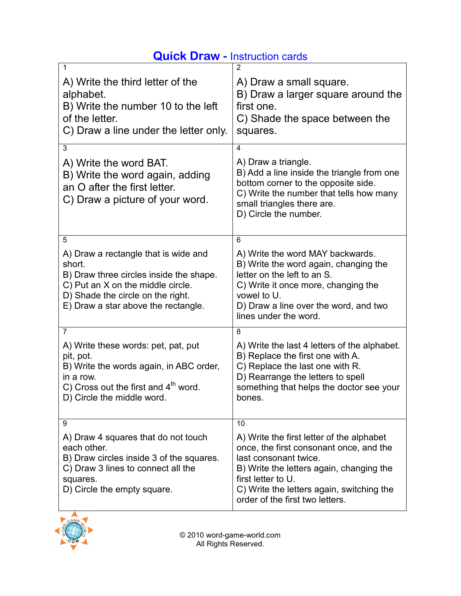|  | <b>Quick Draw - Instruction cards</b> |  |
|--|---------------------------------------|--|
|  |                                       |  |

| 1<br>A) Write the third letter of the<br>alphabet.<br>B) Write the number 10 to the left<br>of the letter.<br>C) Draw a line under the letter only.                                                             | 2<br>A) Draw a small square.<br>B) Draw a larger square around the<br>first one.<br>C) Shade the space between the<br>squares.                                                                                                                                        |
|-----------------------------------------------------------------------------------------------------------------------------------------------------------------------------------------------------------------|-----------------------------------------------------------------------------------------------------------------------------------------------------------------------------------------------------------------------------------------------------------------------|
| 3<br>A) Write the word BAT.<br>B) Write the word again, adding<br>an O after the first letter.<br>C) Draw a picture of your word.                                                                               | 4<br>A) Draw a triangle.<br>B) Add a line inside the triangle from one<br>bottom corner to the opposite side.<br>C) Write the number that tells how many<br>small triangles there are.<br>D) Circle the number.                                                       |
| 5<br>A) Draw a rectangle that is wide and<br>short.<br>B) Draw three circles inside the shape.<br>C) Put an X on the middle circle.<br>D) Shade the circle on the right.<br>E) Draw a star above the rectangle. | 6<br>A) Write the word MAY backwards.<br>B) Write the word again, changing the<br>letter on the left to an S.<br>C) Write it once more, changing the<br>vowel to U.<br>D) Draw a line over the word, and two<br>lines under the word.                                 |
| $\overline{7}$<br>A) Write these words: pet, pat, put<br>pit, pot.<br>B) Write the words again, in ABC order,<br>in a row.<br>C) Cross out the first and $4th$ word.<br>D) Circle the middle word.              | 8<br>A) Write the last 4 letters of the alphabet.<br>B) Replace the first one with A.<br>C) Replace the last one with R.<br>D) Rearrange the letters to spell<br>something that helps the doctor see your<br>bones.                                                   |
| 9<br>A) Draw 4 squares that do not touch<br>each other.<br>B) Draw circles inside 3 of the squares.<br>C) Draw 3 lines to connect all the<br>squares.<br>D) Circle the empty square.                            | 10<br>A) Write the first letter of the alphabet<br>once, the first consonant once, and the<br>last consonant twice.<br>B) Write the letters again, changing the<br>first letter to U.<br>C) Write the letters again, switching the<br>order of the first two letters. |